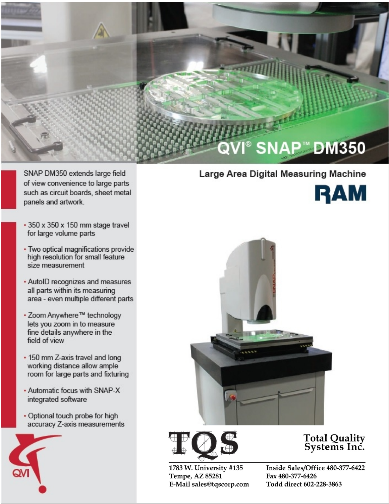

SNAP DM350 extends large field of view convenience to large parts such as circuit boards, sheet metal panels and artwork.

- 350 x 350 x 150 mm stage travel for large volume parts
- . Two optical magnifications provide high resolution for small feature size measurement
- . AutoID recognizes and measures all parts within its measuring area - even multiple different parts
- . Zoom Anywhere™ technology lets you zoom in to measure fine details anywhere in the field of view
- . 150 mm Z-axis travel and long working distance allow ample room for large parts and fixturing
- Automatic focus with SNAP-X integrated software
- Optional touch probe for high accuracy Z-axis measurements



## Large Area Digital Measuring Machine







## 1783 W. University #135 Tempe, AZ 85281 E-Mail sales@tqscorp.com

## Total Quality<br>Systems Inc.

Inside Sales/Office 480-377-6422 Fax 480-377-6426 Todd direct 602-228-3863